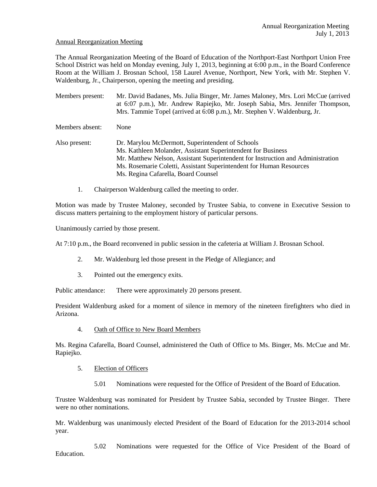### Annual Reorganization Meeting

The Annual Reorganization Meeting of the Board of Education of the Northport-East Northport Union Free School District was held on Monday evening, July 1, 2013, beginning at 6:00 p.m., in the Board Conference Room at the William J. Brosnan School, 158 Laurel Avenue, Northport, New York, with Mr. Stephen V. Waldenburg, Jr., Chairperson, opening the meeting and presiding.

Members present: Mr. David Badanes, Ms. Julia Binger, Mr. James Maloney, Mrs. Lori McCue (arrived at 6:07 p.m.), Mr. Andrew Rapiejko, Mr. Joseph Sabia, Mrs. Jennifer Thompson, Mrs. Tammie Topel (arrived at 6:08 p.m.), Mr. Stephen V. Waldenburg, Jr. Members absent: None Also present: Dr. Marylou McDermott, Superintendent of Schools Ms. Kathleen Molander, Assistant Superintendent for Business Mr. Matthew Nelson, Assistant Superintendent for Instruction and Administration Ms. Rosemarie Coletti, Assistant Superintendent for Human Resources Ms. Regina Cafarella, Board Counsel

1. Chairperson Waldenburg called the meeting to order.

Motion was made by Trustee Maloney, seconded by Trustee Sabia, to convene in Executive Session to discuss matters pertaining to the employment history of particular persons.

Unanimously carried by those present.

At 7:10 p.m., the Board reconvened in public session in the cafeteria at William J. Brosnan School.

- 2. Mr. Waldenburg led those present in the Pledge of Allegiance; and
- 3. Pointed out the emergency exits.

Public attendance: There were approximately 20 persons present.

President Waldenburg asked for a moment of silence in memory of the nineteen firefighters who died in Arizona.

4. Oath of Office to New Board Members

Ms. Regina Cafarella, Board Counsel, administered the Oath of Office to Ms. Binger, Ms. McCue and Mr. Rapiejko.

# 5. Election of Officers

5.01 Nominations were requested for the Office of President of the Board of Education.

Trustee Waldenburg was nominated for President by Trustee Sabia, seconded by Trustee Binger. There were no other nominations.

Mr. Waldenburg was unanimously elected President of the Board of Education for the 2013-2014 school year.

5.02 Nominations were requested for the Office of Vice President of the Board of Education.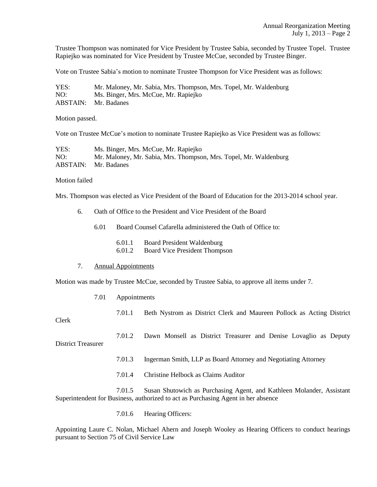Trustee Thompson was nominated for Vice President by Trustee Sabia, seconded by Trustee Topel. Trustee Rapiejko was nominated for Vice President by Trustee McCue, seconded by Trustee Binger.

Vote on Trustee Sabia's motion to nominate Trustee Thompson for Vice President was as follows:

| YES: | Mr. Maloney, Mr. Sabia, Mrs. Thompson, Mrs. Topel, Mr. Waldenburg |
|------|-------------------------------------------------------------------|
| NO:  | Ms. Binger, Mrs. McCue, Mr. Rapiejko                              |
|      | <b>ABSTAIN:</b> Mr. Badanes                                       |

Motion passed.

Vote on Trustee McCue's motion to nominate Trustee Rapiejko as Vice President was as follows:

| YES: | Ms. Binger, Mrs. McCue, Mr. Rapiejko                              |
|------|-------------------------------------------------------------------|
| NO:  | Mr. Maloney, Mr. Sabia, Mrs. Thompson, Mrs. Topel, Mr. Waldenburg |
|      | <b>ABSTAIN:</b> Mr. Badanes                                       |

#### Motion failed

Mrs. Thompson was elected as Vice President of the Board of Education for the 2013-2014 school year.

- 6. Oath of Office to the President and Vice President of the Board
	- 6.01 Board Counsel Cafarella administered the Oath of Office to:
		- 6.01.1 Board President Waldenburg
		- 6.01.2 Board Vice President Thompson

#### 7. Annual Appointments

Motion was made by Trustee McCue, seconded by Trustee Sabia, to approve all items under 7.

- 7.01 Appointments
	- 7.01.1 Beth Nystrom as District Clerk and Maureen Pollock as Acting District

Clerk

7.01.2 Dawn Monsell as District Treasurer and Denise Lovaglio as Deputy District Treasurer

- 7.01.3 Ingerman Smith, LLP as Board Attorney and Negotiating Attorney
- 7.01.4 Christine Helbock as Claims Auditor

7.01.5 Susan Shutowich as Purchasing Agent, and Kathleen Molander, Assistant Superintendent for Business, authorized to act as Purchasing Agent in her absence

7.01.6 Hearing Officers:

Appointing Laure C. Nolan, Michael Ahern and Joseph Wooley as Hearing Officers to conduct hearings pursuant to Section 75 of Civil Service Law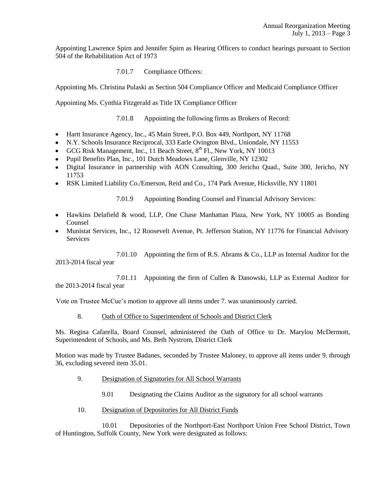Appointing Lawrence Spirn and Jennifer Spirn as Hearing Officers to conduct hearings pursuant to Section 504 of the Rehabilitation Act of 1973

7.01.7 Compliance Officers:

Appointing Ms. Christina Pulaski as Section 504 Compliance Officer and Medicaid Compliance Officer

Appointing Ms. Cynthia Fitzgerald as Title IX Compliance Officer

7.01.8 Appointing the following firms as Brokers of Record:

- Hartt Insurance Agency, Inc., 45 Main Street, P.O. Box 449, Northport, NY 11768
- N.Y. Schools Insurance Reciprocal, 333 Earle Ovington Blvd., Uniondale, NY 11553
- GCG Risk Management, Inc., 11 Beach Street,  $8<sup>th</sup>$  Fl., New York, NY 10013
- Pupil Benefits Plan, Inc., 101 Dutch Meadows Lane, Glenville, NY 12302
- Digital Insurance in partnership with AON Consulting, 300 Jericho Quad., Suite 300, Jericho, NY 11753
- RSK Limited Liability Co./Emerson, Reid and Co., 174 Park Avenue, Hicksville, NY 11801

7.01.9 Appointing Bonding Counsel and Financial Advisory Services:

- Hawkins Delafield & wood, LLP, One Chase Manhattan Plaza, New York, NY 10005 as Bonding Counsel
- Munistat Services, Inc., 12 Roosevelt Avenue, Pt. Jefferson Station, NY 11776 for Financial Advisory **Services**

7.01.10 Appointing the firm of R.S. Abrams & Co., LLP as Internal Auditor for the 2013-2014 fiscal year

7.01.11 Appointing the firm of Cullen & Danowski, LLP as External Auditor for the 2013-2014 fiscal year

Vote on Trustee McCue's motion to approve all items under 7. was unanimously carried.

8. Oath of Office to Superintendent of Schools and District Clerk

Ms. Regina Cafarella, Board Counsel, administered the Oath of Office to Dr. Marylou McDermott, Superintendent of Schools, and Ms. Beth Nystrom, District Clerk

Motion was made by Trustee Badanes, seconded by Trustee Maloney, to approve all items under 9. through 36, excluding severed item 35.01.

- 9. Designation of Signatories for All School Warrants
	- 9.01 Designating the Claims Auditor as the signatory for all school warrants
- 10. Designation of Depositories for All District Funds

10.01 Depositories of the Northport-East Northport Union Free School District, Town of Huntington, Suffolk County, New York were designated as follows: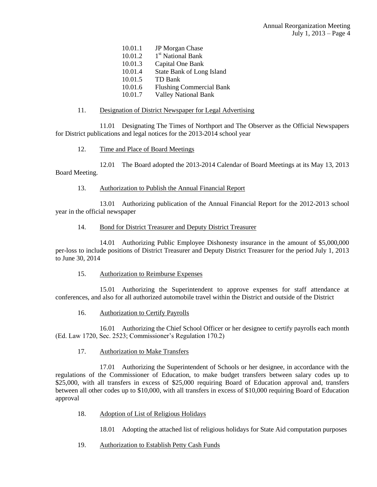| 10.01.1 | JP Morgan Chase                  |
|---------|----------------------------------|
| 10.01.2 | 1 <sup>st</sup> National Bank    |
| 10.01.3 | Capital One Bank                 |
| 10.01.4 | <b>State Bank of Long Island</b> |
| 10.01.5 | TD Bank                          |
| 10.01.6 | <b>Flushing Commercial Bank</b>  |
| 10.01.7 | <b>Valley National Bank</b>      |

# 11. Designation of District Newspaper for Legal Advertising

11.01 Designating The Times of Northport and The Observer as the Official Newspapers for District publications and legal notices for the 2013-2014 school year

### 12. Time and Place of Board Meetings

12.01 The Board adopted the 2013-2014 Calendar of Board Meetings at its May 13, 2013 Board Meeting.

### 13. Authorization to Publish the Annual Financial Report

13.01 Authorizing publication of the Annual Financial Report for the 2012-2013 school year in the official newspaper

### 14. Bond for District Treasurer and Deputy District Treasurer

14.01 Authorizing Public Employee Dishonesty insurance in the amount of \$5,000,000 per-loss to include positions of District Treasurer and Deputy District Treasurer for the period July 1, 2013 to June 30, 2014

# 15. Authorization to Reimburse Expenses

15.01 Authorizing the Superintendent to approve expenses for staff attendance at conferences, and also for all authorized automobile travel within the District and outside of the District

16. Authorization to Certify Payrolls

16.01 Authorizing the Chief School Officer or her designee to certify payrolls each month (Ed. Law 1720, Sec. 2523; Commissioner's Regulation 170.2)

# 17. Authorization to Make Transfers

17.01 Authorizing the Superintendent of Schools or her designee, in accordance with the regulations of the Commissioner of Education, to make budget transfers between salary codes up to \$25,000, with all transfers in excess of \$25,000 requiring Board of Education approval and, transfers between all other codes up to \$10,000, with all transfers in excess of \$10,000 requiring Board of Education approval

18. Adoption of List of Religious Holidays

18.01 Adopting the attached list of religious holidays for State Aid computation purposes

19. Authorization to Establish Petty Cash Funds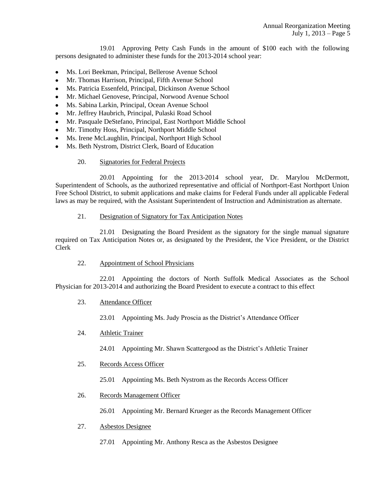19.01 Approving Petty Cash Funds in the amount of \$100 each with the following persons designated to administer these funds for the 2013-2014 school year:

- Ms. Lori Beekman, Principal, Bellerose Avenue School
- Mr. Thomas Harrison, Principal, Fifth Avenue School
- Ms. Patricia Essenfeld, Principal, Dickinson Avenue School  $\bullet$
- Mr. Michael Genovese, Principal, Norwood Avenue School  $\bullet$
- Ms. Sabina Larkin, Principal, Ocean Avenue School  $\bullet$
- Mr. Jeffrey Haubrich, Principal, Pulaski Road School
- Mr. Pasquale DeStefano, Principal, East Northport Middle School
- Mr. Timothy Hoss, Principal, Northport Middle School
- Ms. Irene McLaughlin, Principal, Northport High School
- Ms. Beth Nystrom, District Clerk, Board of Education
	- 20. Signatories for Federal Projects

20.01 Appointing for the 2013-2014 school year, Dr. Marylou McDermott, Superintendent of Schools, as the authorized representative and official of Northport-East Northport Union Free School District, to submit applications and make claims for Federal Funds under all applicable Federal laws as may be required, with the Assistant Superintendent of Instruction and Administration as alternate.

# 21. Designation of Signatory for Tax Anticipation Notes

21.01 Designating the Board President as the signatory for the single manual signature required on Tax Anticipation Notes or, as designated by the President, the Vice President, or the District Clerk

22. Appointment of School Physicians

22.01 Appointing the doctors of North Suffolk Medical Associates as the School Physician for 2013-2014 and authorizing the Board President to execute a contract to this effect

23. Attendance Officer

23.01 Appointing Ms. Judy Proscia as the District's Attendance Officer

24. Athletic Trainer

24.01 Appointing Mr. Shawn Scattergood as the District's Athletic Trainer

25. Records Access Officer

25.01 Appointing Ms. Beth Nystrom as the Records Access Officer

26. Records Management Officer

26.01 Appointing Mr. Bernard Krueger as the Records Management Officer

- 27. Asbestos Designee
	- 27.01 Appointing Mr. Anthony Resca as the Asbestos Designee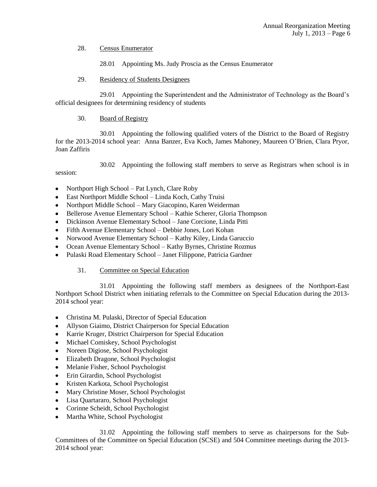28. Census Enumerator

28.01 Appointing Ms. Judy Proscia as the Census Enumerator

29. Residency of Students Designees

29.01 Appointing the Superintendent and the Administrator of Technology as the Board's official designees for determining residency of students

30. Board of Registry

30.01 Appointing the following qualified voters of the District to the Board of Registry for the 2013-2014 school year: Anna Banzer, Eva Koch, James Mahoney, Maureen O'Brien, Clara Pryor, Joan Zaffiris

30.02 Appointing the following staff members to serve as Registrars when school is in session:

- Northport High School Pat Lynch, Clare Roby  $\bullet$
- East Northport Middle School Linda Koch, Cathy Truisi
- Northport Middle School Mary Giacopino, Karen Weiderman
- Bellerose Avenue Elementary School Kathie Scherer, Gloria Thompson
- $\bullet$ Dickinson Avenue Elementary School – Jane Corcione, Linda Pitti
- Fifth Avenue Elementary School Debbie Jones, Lori Kohan
- Norwood Avenue Elementary School Kathy Kiley, Linda Garuccio
- Ocean Avenue Elementary School Kathy Byrnes, Christine Rozmus
- Pulaski Road Elementary School Janet Filippone, Patricia Gardner  $\bullet$

# 31. Committee on Special Education

31.01 Appointing the following staff members as designees of the Northport-East Northport School District when initiating referrals to the Committee on Special Education during the 2013- 2014 school year:

- Christina M. Pulaski, Director of Special Education
- Allyson Giaimo, District Chairperson for Special Education  $\bullet$
- Karrie Kruger, District Chairperson for Special Education
- Michael Comiskey, School Psychologist
- Noreen Digiose, School Psychologist  $\bullet$
- Elizabeth Dragone, School Psychologist  $\bullet$
- Melanie Fisher, School Psychologist  $\bullet$
- Erin Girardin, School Psychologist  $\bullet$
- Kristen Karkota, School Psychologist  $\bullet$
- Mary Christine Moser, School Psychologist  $\bullet$
- Lisa Quartararo, School Psychologist
- $\bullet$ Corinne Scheidt, School Psychologist
- Martha White, School Psychologist  $\bullet$

31.02 Appointing the following staff members to serve as chairpersons for the Sub-Committees of the Committee on Special Education (SCSE) and 504 Committee meetings during the 2013- 2014 school year: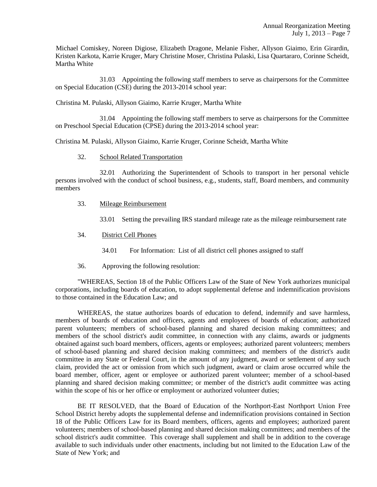Michael Comiskey, Noreen Digiose, Elizabeth Dragone, Melanie Fisher, Allyson Giaimo, Erin Girardin, Kristen Karkota, Karrie Kruger, Mary Christine Moser, Christina Pulaski, Lisa Quartararo, Corinne Scheidt, Martha White

31.03 Appointing the following staff members to serve as chairpersons for the Committee on Special Education (CSE) during the 2013-2014 school year:

Christina M. Pulaski, Allyson Giaimo, Karrie Kruger, Martha White

31.04 Appointing the following staff members to serve as chairpersons for the Committee on Preschool Special Education (CPSE) during the 2013-2014 school year:

Christina M. Pulaski, Allyson Giaimo, Karrie Kruger, Corinne Scheidt, Martha White

### 32. School Related Transportation

32.01 Authorizing the Superintendent of Schools to transport in her personal vehicle persons involved with the conduct of school business, e.g., students, staff, Board members, and community members

- 33. Mileage Reimbursement
	- 33.01 Setting the prevailing IRS standard mileage rate as the mileage reimbursement rate
- 34. District Cell Phones
	- 34.01 For Information: List of all district cell phones assigned to staff
- 36. Approving the following resolution:

"WHEREAS, Section 18 of the Public Officers Law of the State of New York authorizes municipal corporations, including boards of education, to adopt supplemental defense and indemnification provisions to those contained in the Education Law; and

WHEREAS, the statue authorizes boards of education to defend, indemnify and save harmless, members of boards of education and officers, agents and employees of boards of education; authorized parent volunteers; members of school-based planning and shared decision making committees; and members of the school district's audit committee, in connection with any claims, awards or judgments obtained against such board members, officers, agents or employees; authorized parent volunteers; members of school-based planning and shared decision making committees; and members of the district's audit committee in any State or Federal Court, in the amount of any judgment, award or settlement of any such claim, provided the act or omission from which such judgment, award or claim arose occurred while the board member, officer, agent or employee or authorized parent volunteer; member of a school-based planning and shared decision making committee; or member of the district's audit committee was acting within the scope of his or her office or employment or authorized volunteer duties;

BE IT RESOLVED, that the Board of Education of the Northport-East Northport Union Free School District hereby adopts the supplemental defense and indemnification provisions contained in Section 18 of the Public Officers Law for its Board members, officers, agents and employees; authorized parent volunteers; members of school-based planning and shared decision making committees; and members of the school district's audit committee. This coverage shall supplement and shall be in addition to the coverage available to such individuals under other enactments, including but not limited to the Education Law of the State of New York; and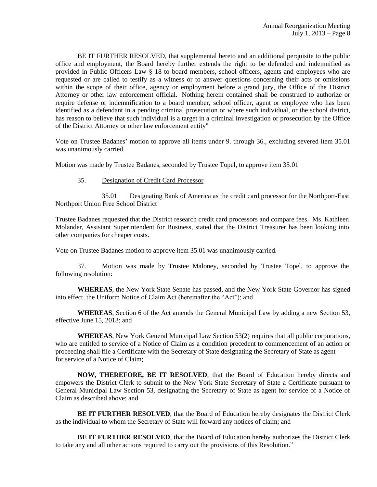BE IT FURTHER RESOLVED, that supplemental hereto and an additional perquisite to the public office and employment, the Board hereby further extends the right to be defended and indemnified as provided in Public Officers Law § 18 to board members, school officers, agents and employees who are requested or are called to testify as a witness or to answer questions concerning their acts or omissions within the scope of their office, agency or employment before a grand jury, the Office of the District Attorney or other law enforcement official. Nothing herein contained shall be construed to authorize or require defense or indemnification to a board member, school officer, agent or employee who has been identified as a defendant in a pending criminal prosecution or where such individual, or the school district, has reason to believe that such individual is a target in a criminal investigation or prosecution by the Office of the District Attorney or other law enforcement entity"

Vote on Trustee Badanes' motion to approve all items under 9. through 36., excluding severed item 35.01 was unanimously carried.

Motion was made by Trustee Badanes, seconded by Trustee Topel, to approve item 35.01

#### 35. Designation of Credit Card Processor

35.01 Designating Bank of America as the credit card processor for the Northport-East Northport Union Free School District

Trustee Badanes requested that the District research credit card processors and compare fees. Ms. Kathleen Molander, Assistant Superintendent for Business, stated that the District Treasurer has been looking into other companies for cheaper costs.

Vote on Trustee Badanes motion to approve item 35.01 was unanimously carried.

37. Motion was made by Trustee Maloney, seconded by Trustee Topel, to approve the following resolution:

**WHEREAS**, the New York State Senate has passed, and the New York State Governor has signed into effect, the Uniform Notice of Claim Act (hereinafter the "Act"); and

**WHEREAS**, Section 6 of the Act amends the General Municipal Law by adding a new Section 53, effective June 15, 2013; and

**WHEREAS**, New York General Municipal Law Section 53(2) requires that all public corporations, who are entitled to service of a Notice of Claim as a condition precedent to commencement of an action or proceeding shall file a Certificate with the Secretary of State designating the Secretary of State as agent for service of a Notice of Claim;

**NOW, THEREFORE, BE IT RESOLVED**, that the Board of Education hereby directs and empowers the District Clerk to submit to the New York State Secretary of State a Certificate pursuant to General Municipal Law Section 53, designating the Secretary of State as agent for service of a Notice of Claim as described above; and

**BE IT FURTHER RESOLVED, that the Board of Education hereby designates the District Clerk** as the individual to whom the Secretary of State will forward any notices of claim; and

**BE IT FURTHER RESOLVED**, that the Board of Education hereby authorizes the District Clerk to take any and all other actions required to carry out the provisions of this Resolution."